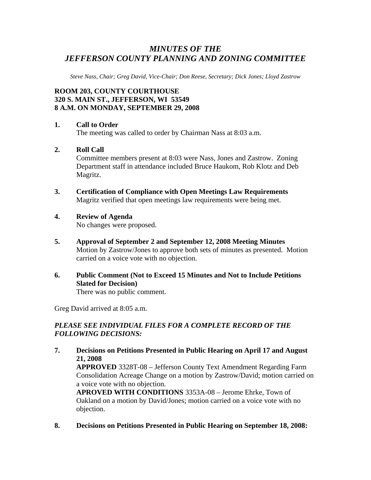# *MINUTES OF THE JEFFERSON COUNTY PLANNING AND ZONING COMMITTEE*

*Steve Nass, Chair; Greg David, Vice-Chair; Don Reese, Secretary; Dick Jones; Lloyd Zastrow* 

## **ROOM 203, COUNTY COURTHOUSE 320 S. MAIN ST., JEFFERSON, WI 53549 8 A.M. ON MONDAY, SEPTEMBER 29, 2008**

#### **1. Call to Order**

The meeting was called to order by Chairman Nass at 8:03 a.m.

#### **2. Roll Call**

Committee members present at 8:03 were Nass, Jones and Zastrow. Zoning Department staff in attendance included Bruce Haukom, Rob Klotz and Deb Magritz.

- **3. Certification of Compliance with Open Meetings Law Requirements**  Magritz verified that open meetings law requirements were being met.
- **4. Review of Agenda**

No changes were proposed.

- **5. Approval of September 2 and September 12, 2008 Meeting Minutes**  Motion by Zastrow/Jones to approve both sets of minutes as presented. Motion carried on a voice vote with no objection.
- **6. Public Comment (Not to Exceed 15 Minutes and Not to Include Petitions Slated for Decision)**  There was no public comment.

Greg David arrived at 8:05 a.m.

objection.

## *PLEASE SEE INDIVIDUAL FILES FOR A COMPLETE RECORD OF THE FOLLOWING DECISIONS:*

- **7. Decisions on Petitions Presented in Public Hearing on April 17 and August 21, 2008 APPROVED** 3328T-08 – Jefferson County Text Amendment Regarding Farm Consolidation Acreage Change on a motion by Zastrow/David; motion carried on a voice vote with no objection. **APROVED WITH CONDITIONS** 3353A-08 – Jerome Ehrke, Town of Oakland on a motion by David/Jones; motion carried on a voice vote with no
- **8. Decisions on Petitions Presented in Public Hearing on September 18, 2008:**